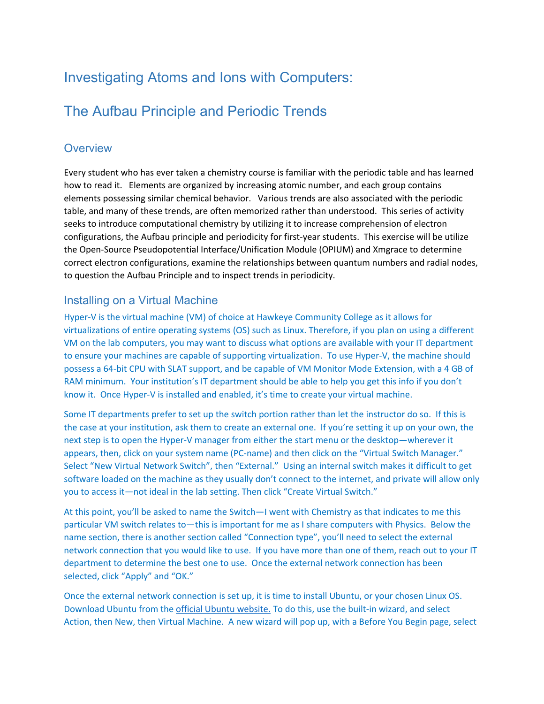# Investigating Atoms and Ions with Computers:

# The Aufbau Principle and Periodic Trends

## **Overview**

Every student who has ever taken a chemistry course is familiar with the periodic table and has learned how to read it. Elements are organized by increasing atomic number, and each group contains elements possessing similar chemical behavior. Various trends are also associated with the periodic table, and many of these trends, are often memorized rather than understood. This series of activity seeks to introduce computational chemistry by utilizing it to increase comprehension of electron configurations, the Aufbau principle and periodicity for first-year students. This exercise will be utilize the Open-Source Pseudopotential Interface/Unification Module (OPIUM) and Xmgrace to determine correct electron configurations, examine the relationships between quantum numbers and radial nodes, to question the Aufbau Principle and to inspect trends in periodicity.

## Installing on a Virtual Machine

Hyper-V is the virtual machine (VM) of choice at Hawkeye Community College as it allows for virtualizations of entire operating systems (OS) such as Linux. Therefore, if you plan on using a different VM on the lab computers, you may want to discuss what options are available with your IT department to ensure your machines are capable of supporting virtualization. To use Hyper-V, the machine should possess a 64-bit CPU with SLAT support, and be capable of VM Monitor Mode Extension, with a 4 GB of RAM minimum. Your institution's IT department should be able to help you get this info if you don't know it. Once Hyper-V is installed and enabled, it's time to create your virtual machine.

Some IT departments prefer to set up the switch portion rather than let the instructor do so. If this is the case at your institution, ask them to create an external one. If you're setting it up on your own, the next step is to open the Hyper-V manager from either the start menu or the desktop—wherever it appears, then, click on your system name (PC-name) and then click on the "Virtual Switch Manager." Select "New Virtual Network Switch", then "External." Using an internal switch makes it difficult to get software loaded on the machine as they usually don't connect to the internet, and private will allow only you to access it—not ideal in the lab setting. Then click "Create Virtual Switch."

At this point, you'll be asked to name the Switch—I went with Chemistry as that indicates to me this particular VM switch relates to—this is important for me as I share computers with Physics. Below the name section, there is another section called "Connection type", you'll need to select the external network connection that you would like to use. If you have more than one of them, reach out to your IT department to determine the best one to use. Once the external network connection has been selected, click "Apply" and "OK."

Once the external network connection is set up, it is time to install Ubuntu, or your chosen Linux OS. Download Ubuntu from the [official Ubuntu website.](https://ubuntu.com/download/desktop) To do this, use the built-in wizard, and select Action, then New, then Virtual Machine. A new wizard will pop up, with a Before You Begin page, select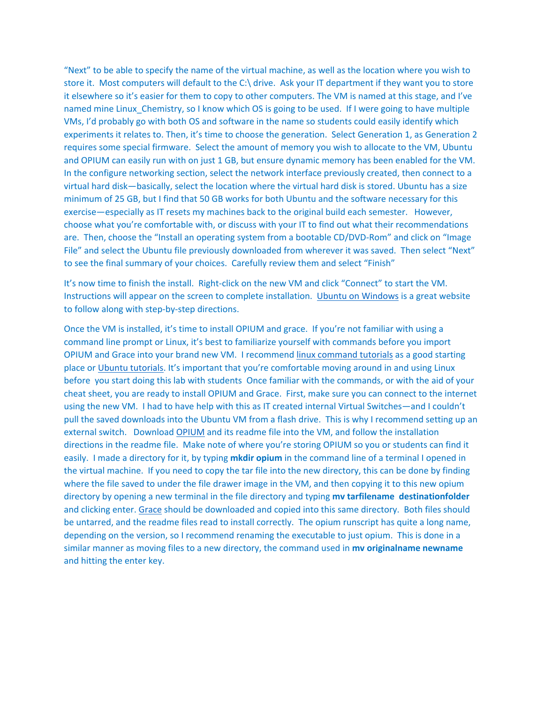"Next" to be able to specify the name of the virtual machine, as well as the location where you wish to store it. Most computers will default to the C:\ drive. Ask your IT department if they want you to store it elsewhere so it's easier for them to copy to other computers. The VM is named at this stage, and I've named mine Linux Chemistry, so I know which OS is going to be used. If I were going to have multiple VMs, I'd probably go with both OS and software in the name so students could easily identify which experiments it relates to. Then, it's time to choose the generation. Select Generation 1, as Generation 2 requires some special firmware. Select the amount of memory you wish to allocate to the VM, Ubuntu and OPIUM can easily run with on just 1 GB, but ensure dynamic memory has been enabled for the VM. In the configure networking section, select the network interface previously created, then connect to a virtual hard disk—basically, select the location where the virtual hard disk is stored. Ubuntu has a size minimum of 25 GB, but I find that 50 GB works for both Ubuntu and the software necessary for this exercise—especially as IT resets my machines back to the original build each semester. However, choose what you're comfortable with, or discuss with your IT to find out what their recommendations are. Then, choose the "Install an operating system from a bootable CD/DVD-Rom" and click on "Image File" and select the Ubuntu file previously downloaded from wherever it was saved. Then select "Next" to see the final summary of your choices. Carefully review them and select "Finish"

It's now time to finish the install. Right-click on the new VM and click "Connect" to start the VM. Instructions will appear on the screen to complete installation. [Ubuntu on Windows](https://geekflare.com/ubuntu-on-windows/) is a great website to follow along with step-by-step directions.

Once the VM is installed, it's time to install OPIUM and grace. If you're not familiar with using a command line prompt or Linux, it's best to familiarize yourself with commands before you import OPIUM and Grace into your brand new VM. I recommend [linux command tutorials](https://www.hostinger.com/tutorials/linux-commands) as a good starting place or [Ubuntu tutorials](https://ubuntu.com/tutorials/command-line-for-beginners#1-overview). It's important that you're comfortable moving around in and using Linux before you start doing this lab with students Once familiar with the commands, or with the aid of your cheat sheet, you are ready to install OPIUM and Grace. First, make sure you can connect to the internet using the new VM. I had to have help with this as IT created internal Virtual Switches—and I couldn't pull the saved downloads into the Ubuntu VM from a flash drive. This is why I recommend setting up an external switch. Download [OPIUM](https://sourceforge.net/projects/opium/) and its readme file into the VM, and follow the installation directions in the readme file. Make note of where you're storing OPIUM so you or students can find it easily. I made a directory for it, by typing **mkdir opium** in the command line of a terminal I opened in the virtual machine. If you need to copy the tar file into the new directory, this can be done by finding where the file saved to under the file drawer image in the VM, and then copying it to this new opium directory by opening a new terminal in the file directory and typing **mv tarfilename destinationfolder** and clicking enter. [Grace](https://plasma-gate.weizmann.ac.il/Grace/) should be downloaded and copied into this same directory. Both files should be untarred, and the readme files read to install correctly. The opium runscript has quite a long name, depending on the version, so I recommend renaming the executable to just opium. This is done in a similar manner as moving files to a new directory, the command used in **mv originalname newname**  and hitting the enter key.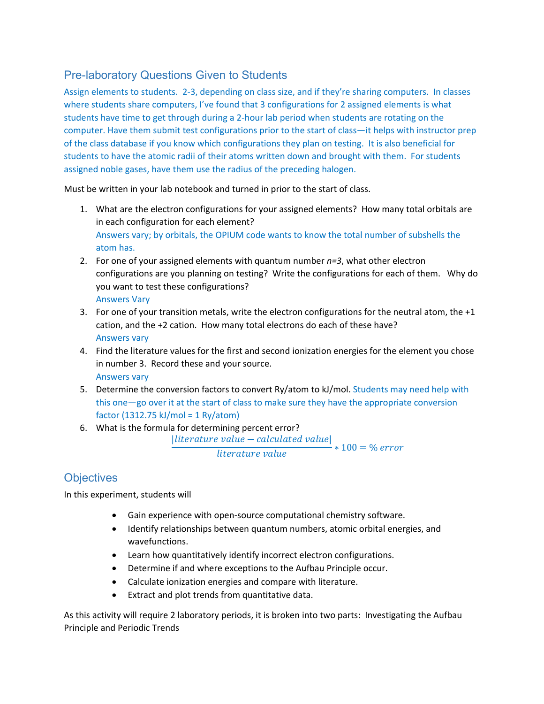## Pre-laboratory Questions Given to Students

Assign elements to students. 2-3, depending on class size, and if they're sharing computers. In classes where students share computers, I've found that 3 configurations for 2 assigned elements is what students have time to get through during a 2-hour lab period when students are rotating on the computer. Have them submit test configurations prior to the start of class—it helps with instructor prep of the class database if you know which configurations they plan on testing. It is also beneficial for students to have the atomic radii of their atoms written down and brought with them. For students assigned noble gases, have them use the radius of the preceding halogen.

Must be written in your lab notebook and turned in prior to the start of class.

- 1. What are the electron configurations for your assigned elements? How many total orbitals are in each configuration for each element? Answers vary; by orbitals, the OPIUM code wants to know the total number of subshells the atom has.
- 2. For one of your assigned elements with quantum number *n=3*, what other electron configurations are you planning on testing? Write the configurations for each of them. Why do you want to test these configurations? Answers Vary
- 3. For one of your transition metals, write the electron configurations for the neutral atom, the +1 cation, and the +2 cation. How many total electrons do each of these have? Answers vary
- 4. Find the literature values for the first and second ionization energies for the element you chose in number 3. Record these and your source. Answers vary
- 5. Determine the conversion factors to convert Ry/atom to kJ/mol. Students may need help with this one—go over it at the start of class to make sure they have the appropriate conversion factor (1312.75 kJ/mol = 1 Ry/atom)
- 6. What is the formula for determining percent error?  $|$ *literature value – calculated value* $|$  $\frac{1}{\text{literature value}}$  \* 100 = % error

## **Objectives**

In this experiment, students will

- Gain experience with open-source computational chemistry software.
- Identify relationships between quantum numbers, atomic orbital energies, and wavefunctions.
- Learn how quantitatively identify incorrect electron configurations.
- Determine if and where exceptions to the Aufbau Principle occur.
- Calculate ionization energies and compare with literature.
- Extract and plot trends from quantitative data.

As this activity will require 2 laboratory periods, it is broken into two parts: Investigating the Aufbau Principle and Periodic Trends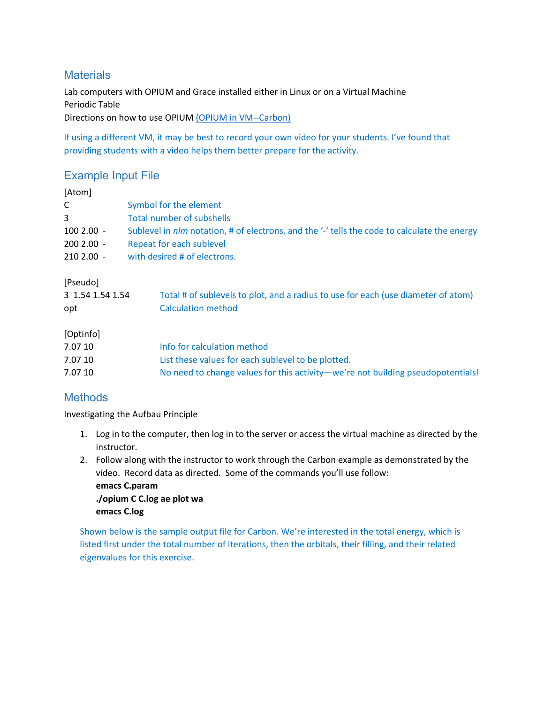## **Materials**

Lab computers with OPIUM and Grace installed either in Linux or on a Virtual Machine Periodic Table Directions on how to use OPIUM [\(OPIUM in VM--Carbon\)](https://hcc.hosted.panopto.com/Panopto/Pages/Embed.aspx?id=dd43f166-73d7-405b-8c40-aa63012679a2)

If using a different VM, it may be best to record your own video for your students. I've found that providing students with a video helps them better prepare for the activity.

## Example Input File

| [Atom]           |                                                                                              |
|------------------|----------------------------------------------------------------------------------------------|
| C                | Symbol for the element                                                                       |
| 3                | <b>Total number of subshells</b>                                                             |
| $1002.00 -$      | Sublevel in nlm notation, # of electrons, and the '-' tells the code to calculate the energy |
| $2002.00 -$      | Repeat for each sublevel                                                                     |
| $2102.00 -$      | with desired # of electrons.                                                                 |
| [Pseudo]         |                                                                                              |
| 3 1.54 1.54 1.54 | Total # of sublevels to plot, and a radius to use for each (use diameter of atom)            |
| opt              | <b>Calculation method</b>                                                                    |
| [Optinfo]        |                                                                                              |
| 7.07 10          | Info for calculation method                                                                  |
| 7.07 10          | List these values for each sublevel to be plotted.                                           |
| 7.07 10          | No need to change values for this activity—we're not building pseudopotentials!              |
|                  |                                                                                              |

## **Methods**

Investigating the Aufbau Principle

- 1. Log in to the computer, then log in to the server or access the virtual machine as directed by the instructor.
- 2. Follow along with the instructor to work through the Carbon example as demonstrated by the video. Record data as directed. Some of the commands you'll use follow:

**emacs C.param ./opium C C.log ae plot wa emacs C.log**

Shown below is the sample output file for Carbon. We're interested in the total energy, which is listed first under the total number of iterations, then the orbitals, their filling, and their related eigenvalues for this exercise.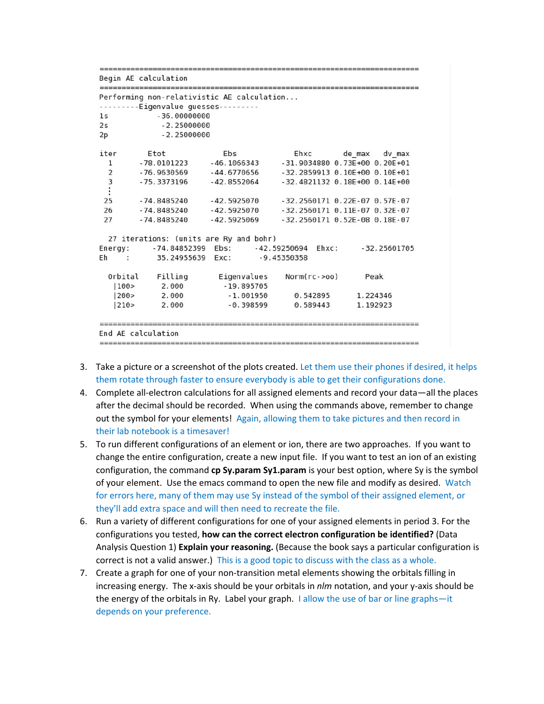| Begin AE calculation<br>-----------------------------<br>Eigenvalue guesses<br>$-36.00000000$<br>$-2.25000000$ | Performing non-relativistic AE calculation |                                                                                                                      |                                                    |  |  |
|----------------------------------------------------------------------------------------------------------------|--------------------------------------------|----------------------------------------------------------------------------------------------------------------------|----------------------------------------------------|--|--|
|                                                                                                                |                                            |                                                                                                                      |                                                    |  |  |
|                                                                                                                |                                            |                                                                                                                      |                                                    |  |  |
|                                                                                                                |                                            |                                                                                                                      |                                                    |  |  |
|                                                                                                                |                                            |                                                                                                                      |                                                    |  |  |
|                                                                                                                |                                            |                                                                                                                      |                                                    |  |  |
|                                                                                                                |                                            | $-2.25000000$                                                                                                        |                                                    |  |  |
| Etot                                                                                                           | Ebs                                        | Ehxc                                                                                                                 | de max dv max                                      |  |  |
| -78.0101223                                                                                                    | $-46.1066343$                              |                                                                                                                      | $-31.9034880$ 0.73E+00 0.20E+01                    |  |  |
|                                                                                                                |                                            |                                                                                                                      | $-32.2859913$ 0.10E+00 0.10E+01                    |  |  |
|                                                                                                                |                                            |                                                                                                                      | $-32.4821132$ 0.18E+00 0.14E+00                    |  |  |
|                                                                                                                |                                            |                                                                                                                      |                                                    |  |  |
| - 74.8485240                                                                                                   | $-42.5925070$                              |                                                                                                                      | $-32.2560171$ 0.22E $-07$ 0.57E $-07$              |  |  |
| - 74.8485240                                                                                                   | $-42.5925070$                              |                                                                                                                      | $-32.2560171$ 0.11E-07 0.32E-07                    |  |  |
| -74.8485240                                                                                                    | - 42.5925069                               |                                                                                                                      | $-32.2560171$ 0.52E-08 0.18E-07                    |  |  |
|                                                                                                                |                                            |                                                                                                                      |                                                    |  |  |
|                                                                                                                |                                            |                                                                                                                      | $-32.25601705$                                     |  |  |
|                                                                                                                |                                            |                                                                                                                      |                                                    |  |  |
| Filling                                                                                                        | Eigenvalues                                | $Norm(rc \rightarrow 00)$                                                                                            | Peak                                               |  |  |
| 2.000                                                                                                          | $-19.895705$                               |                                                                                                                      |                                                    |  |  |
| 2.000                                                                                                          | $-1.001950$                                | 0.542895                                                                                                             | 1.224346                                           |  |  |
| 2.000                                                                                                          | $-0.398599$                                | 0.589443                                                                                                             |                                                    |  |  |
|                                                                                                                |                                            | -76.9630569 -44.6770656<br>$-75.3373196 - 42.8552064$<br>27 iterations: (units are Ry and bohr)<br>-74.84852399 Ebs: | -42.59250694 Ehxc:<br>35.24955639 Exc: -9.45350358 |  |  |

- 3. Take a picture or a screenshot of the plots created. Let them use their phones if desired, it helps them rotate through faster to ensure everybody is able to get their configurations done.
- 4. Complete all-electron calculations for all assigned elements and record your data—all the places after the decimal should be recorded. When using the commands above, remember to change out the symbol for your elements! Again, allowing them to take pictures and then record in their lab notebook is a timesaver!
- 5. To run different configurations of an element or ion, there are two approaches. If you want to change the entire configuration, create a new input file. If you want to test an ion of an existing configuration, the command **cp Sy.param Sy1.param** is your best option, where Sy is the symbol of your element. Use the emacs command to open the new file and modify as desired. Watch for errors here, many of them may use Sy instead of the symbol of their assigned element, or they'll add extra space and will then need to recreate the file.
- 6. Run a variety of different configurations for one of your assigned elements in period 3. For the configurations you tested, **how can the correct electron configuration be identified?** (Data Analysis Question 1) **Explain your reasoning.** (Because the book says a particular configuration is correct is not a valid answer.) This is a good topic to discuss with the class as a whole.
- 7. Create a graph for one of your non-transition metal elements showing the orbitals filling in increasing energy. The x-axis should be your orbitals in *nlm* notation, and your y-axis should be the energy of the orbitals in Ry. Label your graph. I allow the use of bar or line graphs—it depends on your preference.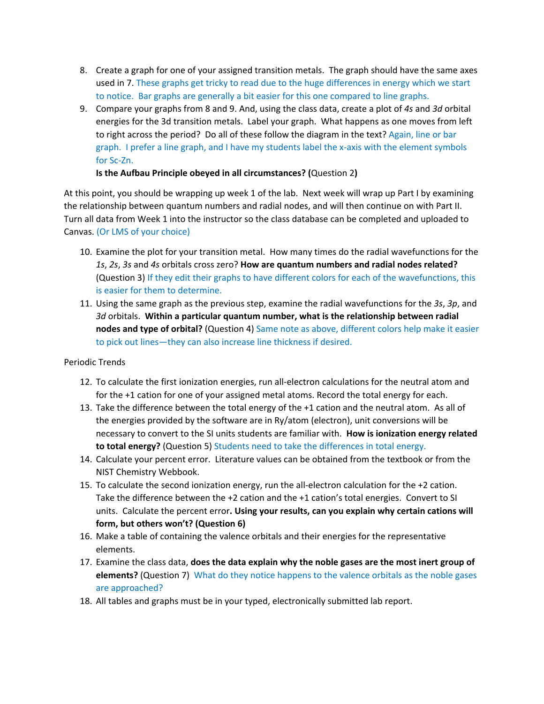- 8. Create a graph for one of your assigned transition metals. The graph should have the same axes used in 7. These graphs get tricky to read due to the huge differences in energy which we start to notice. Bar graphs are generally a bit easier for this one compared to line graphs.
- 9. Compare your graphs from 8 and 9. And, using the class data, create a plot of *4s* and *3d* orbital energies for the 3d transition metals. Label your graph. What happens as one moves from left to right across the period? Do all of these follow the diagram in the text? Again, line or bar graph. I prefer a line graph, and I have my students label the x-axis with the element symbols for Sc-Zn.

**Is the Aufbau Principle obeyed in all circumstances? (**Question 2**)**

At this point, you should be wrapping up week 1 of the lab. Next week will wrap up Part I by examining the relationship between quantum numbers and radial nodes, and will then continue on with Part II. Turn all data from Week 1 into the instructor so the class database can be completed and uploaded to Canvas. (Or LMS of your choice)

- 10. Examine the plot for your transition metal. How many times do the radial wavefunctions for the *1s*, *2s*, *3s* and *4s* orbitals cross zero? **How are quantum numbers and radial nodes related?**  (Question 3) If they edit their graphs to have different colors for each of the wavefunctions, this is easier for them to determine.
- 11. Using the same graph as the previous step, examine the radial wavefunctions for the *3s*, *3p*, and *3d* orbitals. **Within a particular quantum number, what is the relationship between radial nodes and type of orbital?** (Question 4) Same note as above, different colors help make it easier to pick out lines—they can also increase line thickness if desired.

#### Periodic Trends

- 12. To calculate the first ionization energies, run all-electron calculations for the neutral atom and for the +1 cation for one of your assigned metal atoms. Record the total energy for each.
- 13. Take the difference between the total energy of the +1 cation and the neutral atom. As all of the energies provided by the software are in Ry/atom (electron), unit conversions will be necessary to convert to the SI units students are familiar with. **How is ionization energy related to total energy?** (Question 5) Students need to take the differences in total energy.
- 14. Calculate your percent error. Literature values can be obtained from the textbook or from the NIST Chemistry Webbook.
- 15. To calculate the second ionization energy, run the all-electron calculation for the +2 cation. Take the difference between the +2 cation and the +1 cation's total energies. Convert to SI units. Calculate the percent error**. Using your results, can you explain why certain cations will form, but others won't? (Question 6)**
- 16. Make a table of containing the valence orbitals and their energies for the representative elements.
- 17. Examine the class data, **does the data explain why the noble gases are the most inert group of elements?** (Question 7) What do they notice happens to the valence orbitals as the noble gases are approached?
- 18. All tables and graphs must be in your typed, electronically submitted lab report.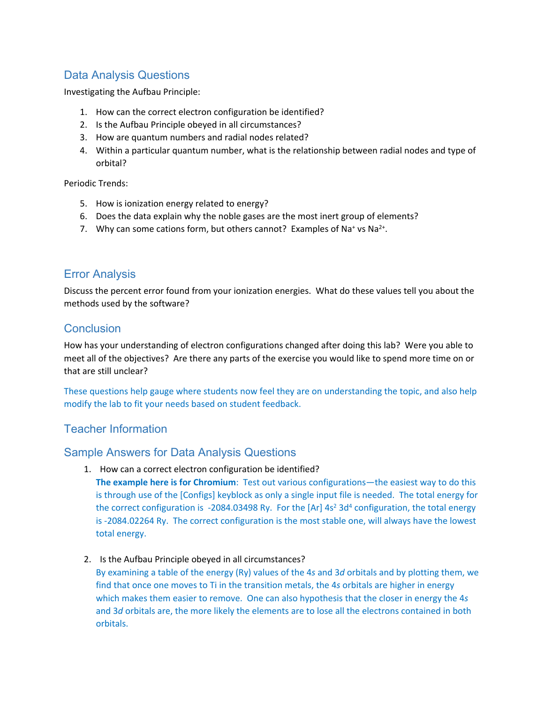## Data Analysis Questions

Investigating the Aufbau Principle:

- 1. How can the correct electron configuration be identified?
- 2. Is the Aufbau Principle obeyed in all circumstances?
- 3. How are quantum numbers and radial nodes related?
- 4. Within a particular quantum number, what is the relationship between radial nodes and type of orbital?

Periodic Trends:

- 5. How is ionization energy related to energy?
- 6. Does the data explain why the noble gases are the most inert group of elements?
- 7. Why can some cations form, but others cannot? Examples of Na<sup>+</sup> vs Na<sup>2+</sup>.

## Error Analysis

Discuss the percent error found from your ionization energies. What do these values tell you about the methods used by the software?

### **Conclusion**

How has your understanding of electron configurations changed after doing this lab? Were you able to meet all of the objectives? Are there any parts of the exercise you would like to spend more time on or that are still unclear?

These questions help gauge where students now feel they are on understanding the topic, and also help modify the lab to fit your needs based on student feedback.

## Teacher Information

#### Sample Answers for Data Analysis Questions

1. How can a correct electron configuration be identified?

**The example here is for Chromium**: Test out various configurations—the easiest way to do this is through use of the [Configs] keyblock as only a single input file is needed. The total energy for the correct configuration is -2084.03498 Ry. For the [Ar]  $4s<sup>2</sup>$  3d<sup>4</sup> configuration, the total energy is -2084.02264 Ry. The correct configuration is the most stable one, will always have the lowest total energy.

2. Is the Aufbau Principle obeyed in all circumstances?

By examining a table of the energy (Ry) values of the 4*s* and 3*d* orbitals and by plotting them, we find that once one moves to Ti in the transition metals, the 4*s* orbitals are higher in energy which makes them easier to remove. One can also hypothesis that the closer in energy the 4*s* and 3*d* orbitals are, the more likely the elements are to lose all the electrons contained in both orbitals.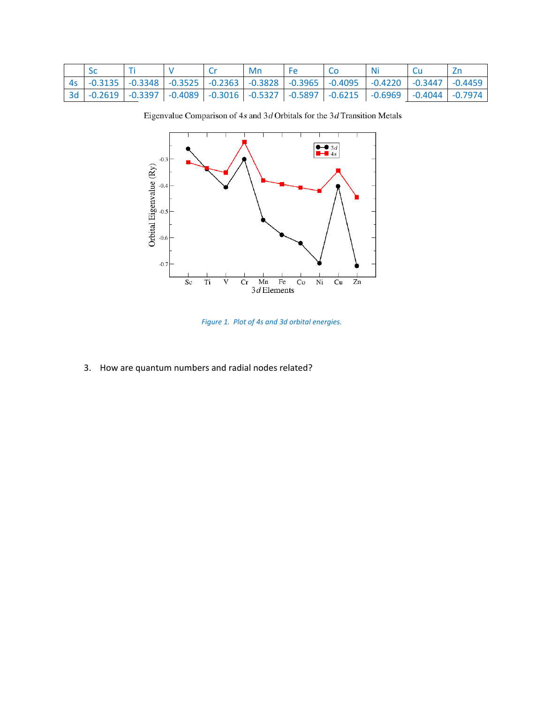|  |  | Mn |                                                                                                        |  |  |
|--|--|----|--------------------------------------------------------------------------------------------------------|--|--|
|  |  |    | 4s   -0.3135   -0.3348   -0.3525   -0.2363   -0.3828   -0.3965   -0.4095   -0.4220   -0.3447   -0.4459 |  |  |
|  |  |    | 3d   -0.2619   -0.3397   -0.4089   -0.3016   -0.5327   -0.5897   -0.6215   -0.6969   -0.4044   -0.7974 |  |  |

Eigenvalue Comparison of  $4s$  and  $3d$  Orbitals for the  $3d$  Transition Metals



*Figure 1. Plot of 4s and 3d orbital energies.*

3. How are quantum numbers and radial nodes related?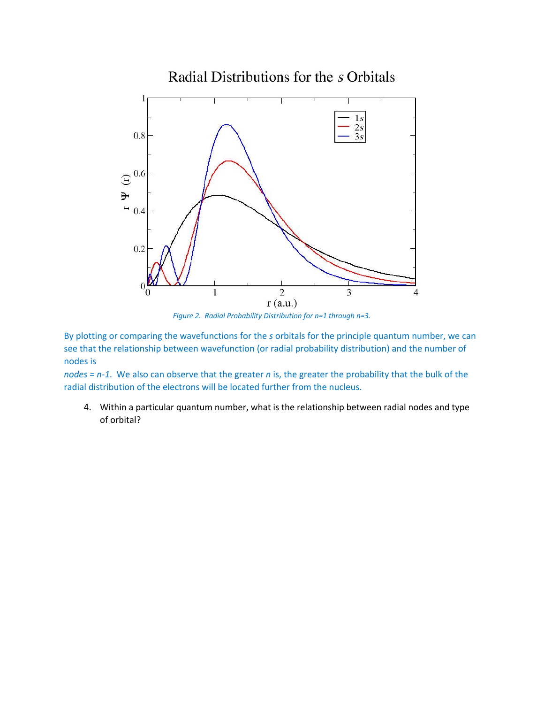

By plotting or comparing the wavefunctions for the *s* orbitals for the principle quantum number, we can see that the relationship between wavefunction (or radial probability distribution) and the number of nodes is

*nodes = n-1*. We also can observe that the greater *n* is, the greater the probability that the bulk of the radial distribution of the electrons will be located further from the nucleus.

4. Within a particular quantum number, what is the relationship between radial nodes and type of orbital?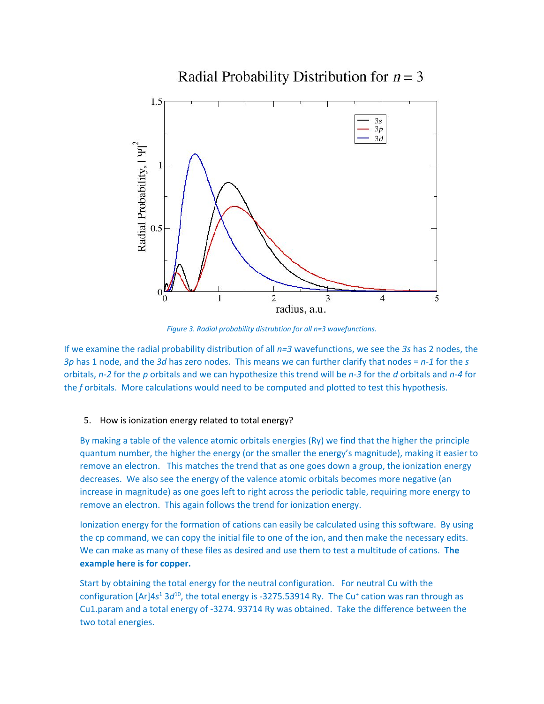

# Radial Probability Distribution for  $n = 3$

*Figure 3. Radial probability distrubtion for all n=3 wavefunctions.*

If we examine the radial probability distribution of all *n=3* wavefunctions, we see the *3s* has 2 nodes, the *3p* has 1 node, and the *3d* has zero nodes. This means we can further clarify that nodes = *n-1* for the *s* orbitals, *n-2* for the *p* orbitals and we can hypothesize this trend will be *n-3* for the *d* orbitals and *n-4* for the *f* orbitals. More calculations would need to be computed and plotted to test this hypothesis.

#### 5. How is ionization energy related to total energy?

By making a table of the valence atomic orbitals energies (Ry) we find that the higher the principle quantum number, the higher the energy (or the smaller the energy's magnitude), making it easier to remove an electron. This matches the trend that as one goes down a group, the ionization energy decreases. We also see the energy of the valence atomic orbitals becomes more negative (an increase in magnitude) as one goes left to right across the periodic table, requiring more energy to remove an electron. This again follows the trend for ionization energy.

Ionization energy for the formation of cations can easily be calculated using this software. By using the cp command, we can copy the initial file to one of the ion, and then make the necessary edits. We can make as many of these files as desired and use them to test a multitude of cations. **The example here is for copper.**

Start by obtaining the total energy for the neutral configuration. For neutral Cu with the configuration [Ar]4s<sup>1</sup> 3d<sup>10</sup>, the total energy is -3275.53914 Ry. The Cu<sup>+</sup> cation was ran through as Cu1.param and a total energy of -3274. 93714 Ry was obtained. Take the difference between the two total energies.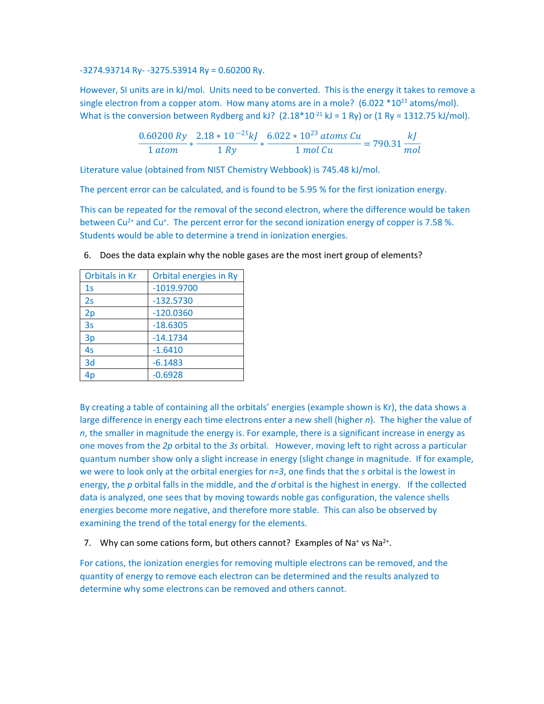-3274.93714 Ry- -3275.53914 Ry = 0.60200 Ry.

However, SI units are in kJ/mol. Units need to be converted. This is the energy it takes to remove a single electron from a copper atom. How many atoms are in a mole?  $(6.022 * 10<sup>23</sup>$  atoms/mol). What is the conversion between Rydberg and kJ?  $(2.18 * 10^{-21} \text{ kJ} = 1 \text{ Ry})$  or  $(1 \text{ Ry} = 1312.75 \text{ kJ/mol})$ .

$$
\frac{0.60200 \, Ry}{1 \, atom} * \frac{2.18 * 10^{-21} kJ}{1 \, Ry} * \frac{6.022 * 10^{23} \, atoms \, Cu}{1 \, mol \, Cu} = 790.31 \, \frac{kJ}{mol}
$$

Literature value (obtained from NIST Chemistry Webbook) is 745.48 kJ/mol.

The percent error can be calculated, and is found to be 5.95 % for the first ionization energy.

This can be repeated for the removal of the second electron, where the difference would be taken between Cu<sup>2+</sup> and Cu<sup>+</sup>. The percent error for the second ionization energy of copper is 7.58 %. Students would be able to determine a trend in ionization energies.

| <b>Orbitals in Kr</b> | Orbital energies in Ry |
|-----------------------|------------------------|
| 1 <sub>S</sub>        | $-1019.9700$           |
| 2s                    | $-132.5730$            |
| 2p                    | $-120.0360$            |
| 3s                    | $-18.6305$             |
| 3p                    | $-14.1734$             |
| 4s                    | $-1.6410$              |
| 3d                    | $-6.1483$              |
|                       | $-0.6928$              |

6. Does the data explain why the noble gases are the most inert group of elements?

By creating a table of containing all the orbitals' energies (example shown is Kr), the data shows a large difference in energy each time electrons enter a new shell (higher *n*). The higher the value of *n*, the smaller in magnitude the energy is. For example, there is a significant increase in energy as one moves from the *2p* orbital to the *3s* orbital. However, moving left to right across a particular quantum number show only a slight increase in energy (slight change in magnitude. If for example, we were to look only at the orbital energies for *n=3*, one finds that the *s* orbital is the lowest in energy, the *p* orbital falls in the middle, and the *d* orbital is the highest in energy. If the collected data is analyzed, one sees that by moving towards noble gas configuration, the valence shells energies become more negative, and therefore more stable. This can also be observed by examining the trend of the total energy for the elements.

7. Why can some cations form, but others cannot? Examples of Na<sup>+</sup> vs Na<sup>2+</sup>.

For cations, the ionization energies for removing multiple electrons can be removed, and the quantity of energy to remove each electron can be determined and the results analyzed to determine why some electrons can be removed and others cannot.